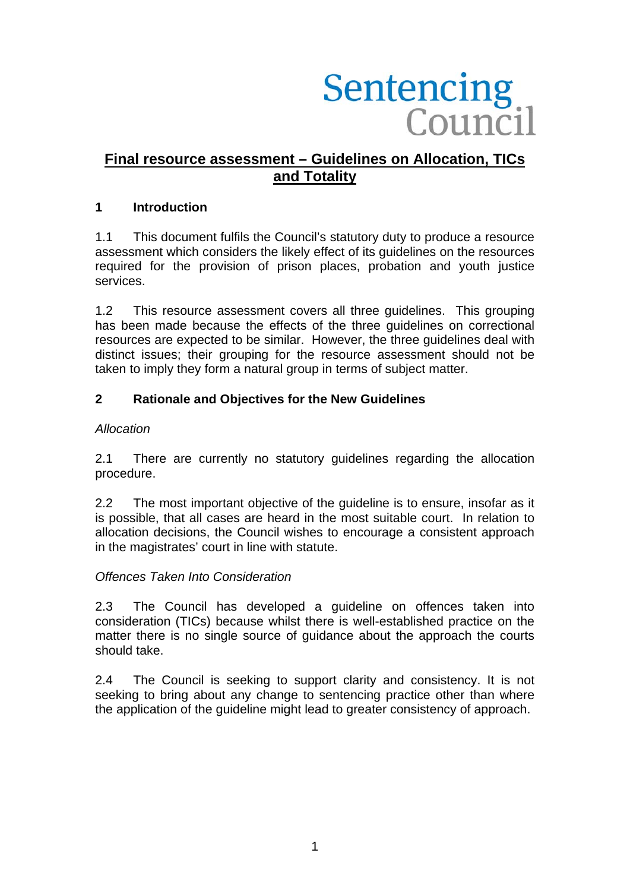# Sentencing<br>Council

# **Final resource assessment – Guidelines on Allocation, TICs and Totality**

### **1 Introduction**

1.1 This document fulfils the Council's statutory duty to produce a resource assessment which considers the likely effect of its guidelines on the resources required for the provision of prison places, probation and youth justice services.

1.2 This resource assessment covers all three guidelines. This grouping has been made because the effects of the three guidelines on correctional resources are expected to be similar. However, the three guidelines deal with distinct issues; their grouping for the resource assessment should not be taken to imply they form a natural group in terms of subject matter.

# **2 Rationale and Objectives for the New Guidelines**

### *Allocation*

2.1 There are currently no statutory guidelines regarding the allocation procedure.

2.2 The most important objective of the guideline is to ensure, insofar as it is possible, that all cases are heard in the most suitable court. In relation to allocation decisions, the Council wishes to encourage a consistent approach in the magistrates' court in line with statute.

### *Offences Taken Into Consideration*

2.3 The Council has developed a guideline on offences taken into consideration (TICs) because whilst there is well-established practice on the matter there is no single source of guidance about the approach the courts should take.

2.4 The Council is seeking to support clarity and consistency. It is not seeking to bring about any change to sentencing practice other than where the application of the guideline might lead to greater consistency of approach.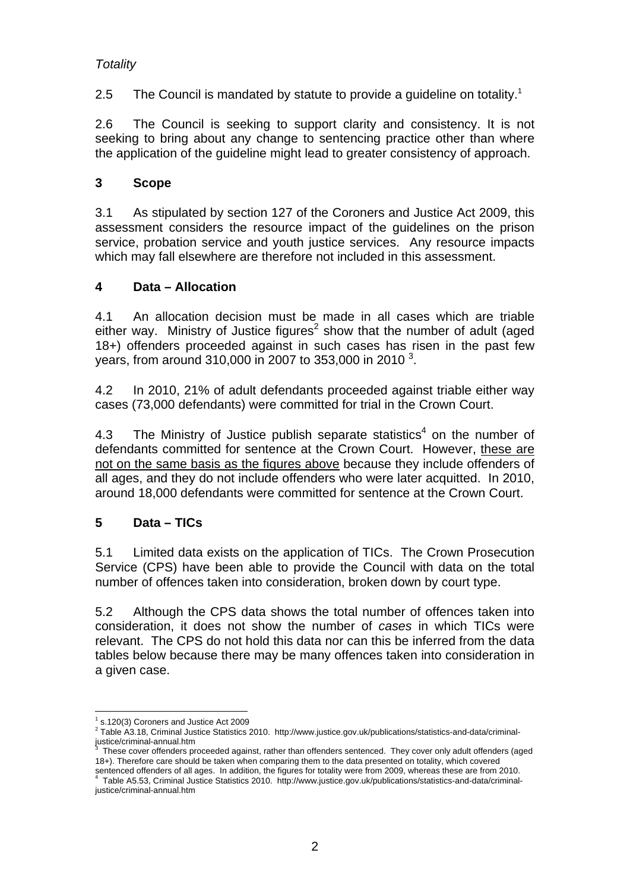# *Totality*

2.5 The Council is mandated by statute to provide a guideline on totality.<sup>1</sup>

2.6 The Council is seeking to support clarity and consistency. It is not seeking to bring about any change to sentencing practice other than where the application of the guideline might lead to greater consistency of approach.

# **3 Scope**

3.1 As stipulated by section 127 of the Coroners and Justice Act 2009, this assessment considers the resource impact of the guidelines on the prison service, probation service and youth justice services. Any resource impacts which may fall elsewhere are therefore not included in this assessment.

# **4 Data – Allocation**

4.1 An allocation decision must be made in all cases which are triable either way. Ministry of Justice figures<sup>2</sup> show that the number of adult (aged 18+) offenders proceeded against in such cases has risen in the past few years, from around 310,000 in 2007 to 353,000 in 2010<sup>3</sup>.

4.2 In 2010, 21% of adult defendants proceeded against triable either way cases (73,000 defendants) were committed for trial in the Crown Court.

4.3 The Ministry of Justice publish separate statistics<sup>4</sup> on the number of defendants committed for sentence at the Crown Court. However, these are not on the same basis as the figures above because they include offenders of all ages, and they do not include offenders who were later acquitted. In 2010, around 18,000 defendants were committed for sentence at the Crown Court.

# **5 Data – TICs**

5.1 Limited data exists on the application of TICs. The Crown Prosecution Service (CPS) have been able to provide the Council with data on the total number of offences taken into consideration, broken down by court type.

5.2 Although the CPS data shows the total number of offences taken into consideration, it does not show the number of *cases* in which TICs were relevant. The CPS do not hold this data nor can this be inferred from the data tables below because there may be many offences taken into consideration in a given case.

<sup>&</sup>lt;u>.</u>  $1$  s.120(3) Coroners and Justice Act 2009

<sup>&</sup>lt;sup>2</sup> Table A3.18, Criminal Justice Statistics 2010. http://www.justice.gov.uk/publications/statistics-and-data/criminaljustice/criminal-annual.htm<br><sup>3</sup> These cover effenders ar

These cover offenders proceeded against, rather than offenders sentenced. They cover only adult offenders (aged 18+). Therefore care should be taken when comparing them to the data presented on totality, which covered sentenced offenders of all ages. In addition, the figures for totality were from 2009, whereas these are from 2010. Table A5.53, Criminal Justice Statistics 2010. http://www.justice.gov.uk/publications/statistics-and-data/criminal-

justice/criminal-annual.htm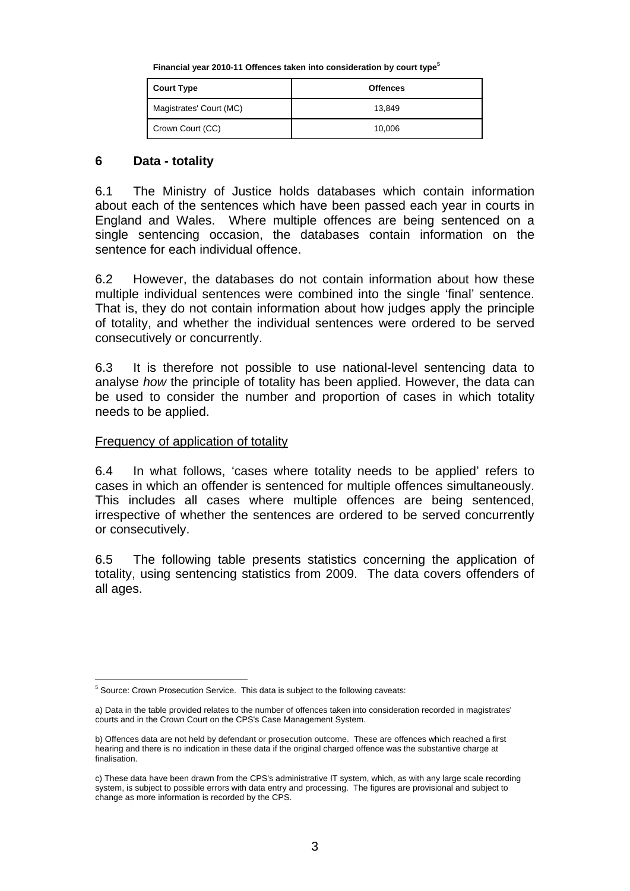**Financial year 2010-11 Offences taken into consideration by court type<sup>5</sup>**

| <b>Court Type</b>       | <b>Offences</b> |
|-------------------------|-----------------|
| Magistrates' Court (MC) | 13.849          |
| Crown Court (CC)        | 10,006          |

### **6 Data - totality**

6.1 The Ministry of Justice holds databases which contain information about each of the sentences which have been passed each year in courts in England and Wales. Where multiple offences are being sentenced on a single sentencing occasion, the databases contain information on the sentence for each individual offence.

6.2 However, the databases do not contain information about how these multiple individual sentences were combined into the single 'final' sentence. That is, they do not contain information about how judges apply the principle of totality, and whether the individual sentences were ordered to be served consecutively or concurrently.

6.3 It is therefore not possible to use national-level sentencing data to analyse *how* the principle of totality has been applied. However, the data can be used to consider the number and proportion of cases in which totality needs to be applied.

### Frequency of application of totality

6.4 In what follows, 'cases where totality needs to be applied' refers to cases in which an offender is sentenced for multiple offences simultaneously. This includes all cases where multiple offences are being sentenced, irrespective of whether the sentences are ordered to be served concurrently or consecutively.

6.5 The following table presents statistics concerning the application of totality, using sentencing statistics from 2009. The data covers offenders of all ages.

 5 Source: Crown Prosecution Service. This data is subject to the following caveats:

a) Data in the table provided relates to the number of offences taken into consideration recorded in magistrates' courts and in the Crown Court on the CPS's Case Management System.

b) Offences data are not held by defendant or prosecution outcome. These are offences which reached a first hearing and there is no indication in these data if the original charged offence was the substantive charge at finalisation.

c) These data have been drawn from the CPS's administrative IT system, which, as with any large scale recording system, is subject to possible errors with data entry and processing. The figures are provisional and subject to change as more information is recorded by the CPS.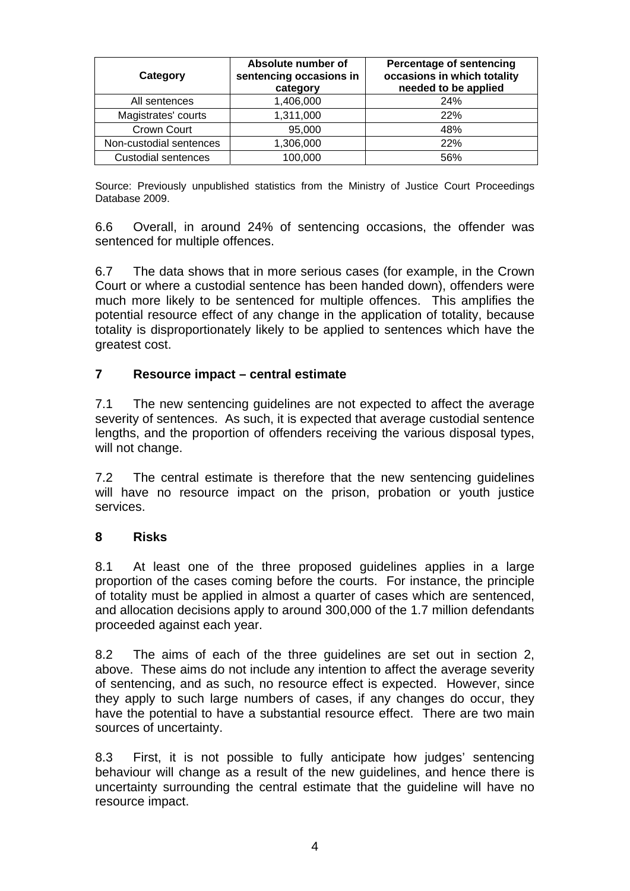| Category                | Absolute number of<br>sentencing occasions in<br>category | <b>Percentage of sentencing</b><br>occasions in which totality<br>needed to be applied |
|-------------------------|-----------------------------------------------------------|----------------------------------------------------------------------------------------|
| All sentences           | 1,406,000                                                 | <b>24%</b>                                                                             |
| Magistrates' courts     | 1,311,000                                                 | 22%                                                                                    |
| Crown Court             | 95,000                                                    | 48%                                                                                    |
| Non-custodial sentences | 1,306,000                                                 | 22%                                                                                    |
| Custodial sentences     | 100,000                                                   | 56%                                                                                    |

Source: Previously unpublished statistics from the Ministry of Justice Court Proceedings Database 2009.

6.6 Overall, in around 24% of sentencing occasions, the offender was sentenced for multiple offences.

6.7 The data shows that in more serious cases (for example, in the Crown Court or where a custodial sentence has been handed down), offenders were much more likely to be sentenced for multiple offences. This amplifies the potential resource effect of any change in the application of totality, because totality is disproportionately likely to be applied to sentences which have the greatest cost.

### **7 Resource impact – central estimate**

7.1 The new sentencing guidelines are not expected to affect the average severity of sentences. As such, it is expected that average custodial sentence lengths, and the proportion of offenders receiving the various disposal types, will not change.

7.2 The central estimate is therefore that the new sentencing guidelines will have no resource impact on the prison, probation or youth justice services.

### **8 Risks**

8.1 At least one of the three proposed guidelines applies in a large proportion of the cases coming before the courts. For instance, the principle of totality must be applied in almost a quarter of cases which are sentenced, and allocation decisions apply to around 300,000 of the 1.7 million defendants proceeded against each year.

8.2 The aims of each of the three guidelines are set out in section 2, above. These aims do not include any intention to affect the average severity of sentencing, and as such, no resource effect is expected. However, since they apply to such large numbers of cases, if any changes do occur, they have the potential to have a substantial resource effect. There are two main sources of uncertainty.

8.3 First, it is not possible to fully anticipate how judges' sentencing behaviour will change as a result of the new guidelines, and hence there is uncertainty surrounding the central estimate that the guideline will have no resource impact.